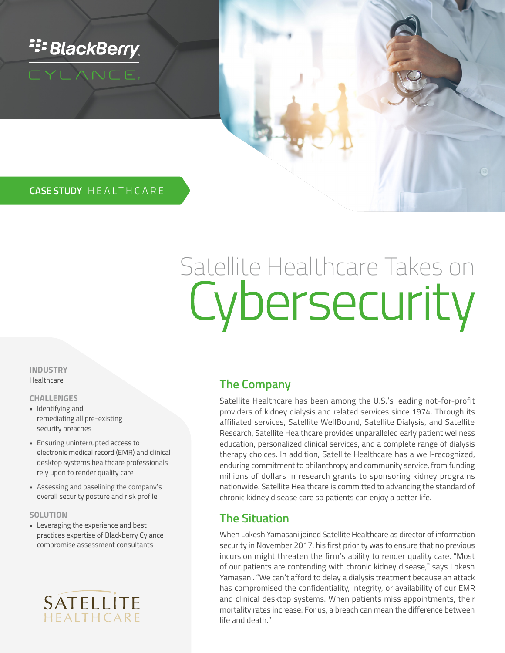

#### **CASE STUDY** HEALTHCARE

# Satellite Healthcare Takes on<br>Cybersecurity

#### **INDUSTRY**  Healthcare

#### **CHALLENGES**

- **•** Identifying and remediating all pre-existing security breaches
- **•** Ensuring uninterrupted access to electronic medical record (EMR) and clinical desktop systems healthcare professionals rely upon to render quality care
- **•** Assessing and baselining the company's overall security posture and risk profile

#### **SOLUTION**

**•** Leveraging the experience and best practices expertise of Blackberry Cylance compromise assessment consultants



## **The Company**

Satellite Healthcare has been among the U.S.'s leading not-for-profit providers of kidney dialysis and related services since 1974. Through its affiliated services, Satellite WellBound, Satellite Dialysis, and Satellite Research, Satellite Healthcare provides unparalleled early patient wellness education, personalized clinical services, and a complete range of dialysis therapy choices. In addition, Satellite Healthcare has a well-recognized, enduring commitment to philanthropy and community service, from funding millions of dollars in research grants to sponsoring kidney programs nationwide. Satellite Healthcare is committed to advancing the standard of chronic kidney disease care so patients can enjoy a better life.

### **The Situation**

When Lokesh Yamasani joined Satellite Healthcare as director of information security in November 2017, his first priority was to ensure that no previous incursion might threaten the firm's ability to render quality care. "Most of our patients are contending with chronic kidney disease," says Lokesh Yamasani. "We can't afford to delay a dialysis treatment because an attack has compromised the confidentiality, integrity, or availability of our EMR and clinical desktop systems. When patients miss appointments, their mortality rates increase. For us, a breach can mean the difference between life and death."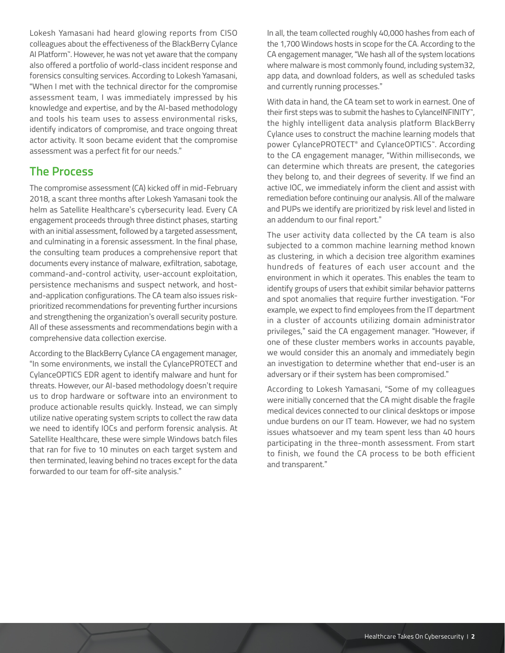Lokesh Yamasani had heard glowing reports from CISO colleagues about the effectiveness of the BlackBerry Cylance AI Platform™. However, he was not yet aware that the company also offered a portfolio of world-class incident response and forensics consulting services. According to Lokesh Yamasani, "When I met with the technical director for the compromise assessment team, I was immediately impressed by his knowledge and expertise, and by the AI-based methodology and tools his team uses to assess environmental risks, identify indicators of compromise, and trace ongoing threat actor activity. It soon became evident that the compromise assessment was a perfect fit for our needs."

#### **The Process**

The compromise assessment (CA) kicked off in mid-February 2018, a scant three months after Lokesh Yamasani took the helm as Satellite Healthcare's cybersecurity lead. Every CA engagement proceeds through three distinct phases, starting with an initial assessment, followed by a targeted assessment, and culminating in a forensic assessment. In the final phase, the consulting team produces a comprehensive report that documents every instance of malware, exfiltration, sabotage, command-and-control activity, user-account exploitation, persistence mechanisms and suspect network, and hostand-application configurations. The CA team also issues riskprioritized recommendations for preventing further incursions and strengthening the organization's overall security posture. All of these assessments and recommendations begin with a comprehensive data collection exercise.

According to the BlackBerry Cylance CA engagement manager, "In some environments, we install the CylancePROTECT and CylanceOPTICS EDR agent to identify malware and hunt for threats. However, our AI-based methodology doesn't require us to drop hardware or software into an environment to produce actionable results quickly. Instead, we can simply utilize native operating system scripts to collect the raw data we need to identify IOCs and perform forensic analysis. At Satellite Healthcare, these were simple Windows batch files that ran for five to 10 minutes on each target system and then terminated, leaving behind no traces except for the data forwarded to our team for off-site analysis."

In all, the team collected roughly 40,000 hashes from each of the 1,700 Windows hosts in scope for the CA. According to the CA engagement manager, "We hash all of the system locations where malware is most commonly found, including system32, app data, and download folders, as well as scheduled tasks and currently running processes."

With data in hand, the CA team set to work in earnest. One of their first steps was to submit the hashes to CylanceINFINITY™, the highly intelligent data analysis platform BlackBerry Cylance uses to construct the machine learning models that power CylancePROTECT<sup>®</sup> and CylanceOPTICS™. According to the CA engagement manager, "Within milliseconds, we can determine which threats are present, the categories they belong to, and their degrees of severity. If we find an active IOC, we immediately inform the client and assist with remediation before continuing our analysis. All of the malware and PUPs we identify are prioritized by risk level and listed in an addendum to our final report."

The user activity data collected by the CA team is also subjected to a common machine learning method known as clustering, in which a decision tree algorithm examines hundreds of features of each user account and the environment in which it operates. This enables the team to identify groups of users that exhibit similar behavior patterns and spot anomalies that require further investigation. "For example, we expect to find employees from the IT department in a cluster of accounts utilizing domain administrator privileges," said the CA engagement manager. "However, if one of these cluster members works in accounts payable, we would consider this an anomaly and immediately begin an investigation to determine whether that end-user is an adversary or if their system has been compromised."

According to Lokesh Yamasani, "Some of my colleagues were initially concerned that the CA might disable the fragile medical devices connected to our clinical desktops or impose undue burdens on our IT team. However, we had no system issues whatsoever and my team spent less than 40 hours participating in the three-month assessment. From start to finish, we found the CA process to be both efficient and transparent."